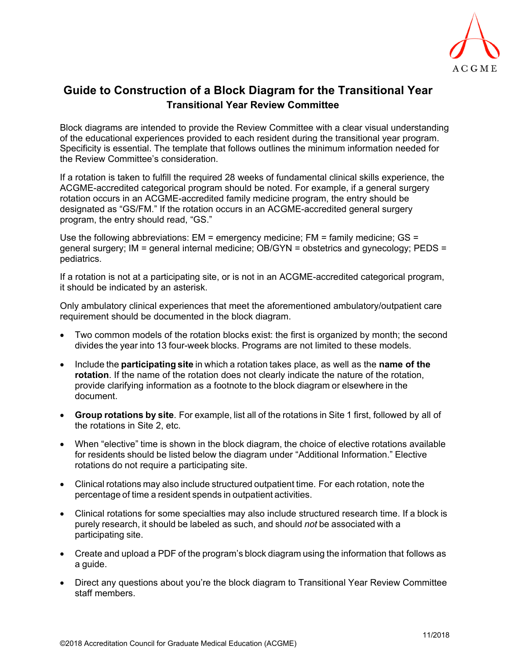

## **Guide to Construction of a Block Diagram for the Transitional Year Transitional Year Review Committee**

Block diagrams are intended to provide the Review Committee with a clear visual understanding of the educational experiences provided to each resident during the transitional year program. Specificity is essential. The template that follows outlines the minimum information needed for the Review Committee's consideration.

If a rotation is taken to fulfill the required 28 weeks of fundamental clinical skills experience, the ACGME-accredited categorical program should be noted. For example, if a general surgery rotation occurs in an ACGME-accredited family medicine program, the entry should be designated as "GS/FM." If the rotation occurs in an ACGME-accredited general surgery program, the entry should read, "GS."

Use the following abbreviations: EM = emergency medicine; FM = family medicine; GS = general surgery; IM = general internal medicine; OB/GYN = obstetrics and gynecology; PEDS = pediatrics.

If a rotation is not at a participating site, or is not in an ACGME-accredited categorical program, it should be indicated by an asterisk.

Only ambulatory clinical experiences that meet the aforementioned ambulatory/outpatient care requirement should be documented in the block diagram.

- Two common models of the rotation blocks exist: the first is organized by month; the second divides the year into 13 four-week blocks. Programs are not limited to these models.
- Include the **participating site** in which a rotation takes place, as well as the **name of the rotation**. If the name of the rotation does not clearly indicate the nature of the rotation, provide clarifying information as a footnote to the block diagram or elsewhere in the document.
- **Group rotations by site**. For example, list all of the rotations in Site 1 first, followed by all of the rotations in Site 2, etc.
- When "elective" time is shown in the block diagram, the choice of elective rotations available for residents should be listed below the diagram under "Additional Information." Elective rotations do not require a participating site.
- Clinical rotations may also include structured outpatient time. For each rotation, note the percentage of time a resident spends in outpatient activities.
- Clinical rotations for some specialties may also include structured research time. If a block is purely research, it should be labeled as such, and should *not* be associated with a participating site.
- Create and upload a PDF of the program's block diagram using the information that follows as a guide.
- Direct any questions about you're the block diagram to Transitional Year Review Committee staff members.